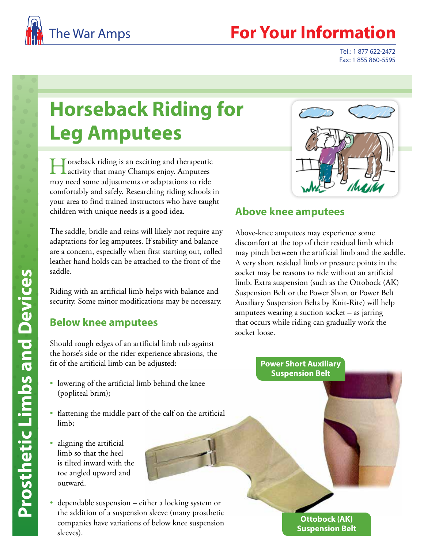

## The War Amps **For Your Information**

Tel.: 1 877 622-2472 Fax: 1 855 860-5595

# **Horseback Riding for Leg Amputees**

Horseback riding is an exciting and therapeutic activity that many Champs enjoy. Amputees may need some adjustments or adaptations to ride comfortably and safely. Researching riding schools in your area to find trained instructors who have taught children with unique needs is a good idea.

The saddle, bridle and reins will likely not require any adaptations for leg amputees. If stability and balance are a concern, especially when first starting out, rolled leather hand holds can be attached to the front of the saddle.

Riding with an artificial limb helps with balance and security. Some minor modifications may be necessary.

#### **Below knee amputees**

Should rough edges of an artificial limb rub against the horse's side or the rider experience abrasions, the fit of the artificial limb can be adjusted:

- lowering of the artificial limb behind the knee (popliteal brim);
- flattening the middle part of the calf on the artificial limb;
- aligning the artificial limb so that the heel is tilted inward with the toe angled upward and outward.
- dependable suspension either a locking system or the addition of a suspension sleeve (many prosthetic companies have variations of below knee suspension sleeves).



### **Above knee amputees**

Above-knee amputees may experience some discomfort at the top of their residual limb which may pinch between the artificial limb and the saddle. A very short residual limb or pressure points in the socket may be reasons to ride without an artificial limb. Extra suspension (such as the Ottobock (AK) Suspension Belt or the Power Short or Power Belt Auxiliary Suspension Belts by Knit-Rite) will help amputees wearing a suction socket – as jarring that occurs while riding can gradually work the socket loose.

#### **Power Short Auxiliary Suspension Belt**

**Ottobock (AK) Suspension Belt**